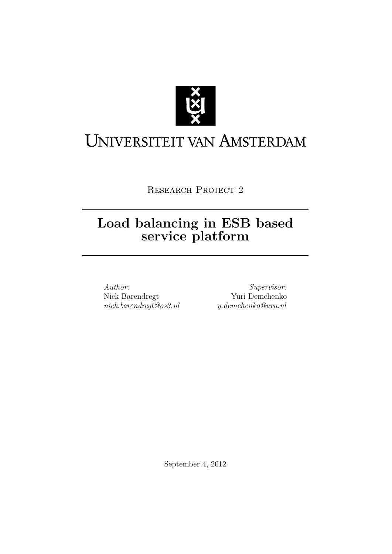

# <span id="page-0-0"></span>UNIVERSITEIT VAN AMSTERDAM

RESEARCH PROJECT 2

## Load balancing in ESB based service platform

Author: Nick Barendregt nick.barendregt@os3.nl

Supervisor: Yuri Demchenko y.demchenko@uva.nl

September 4, 2012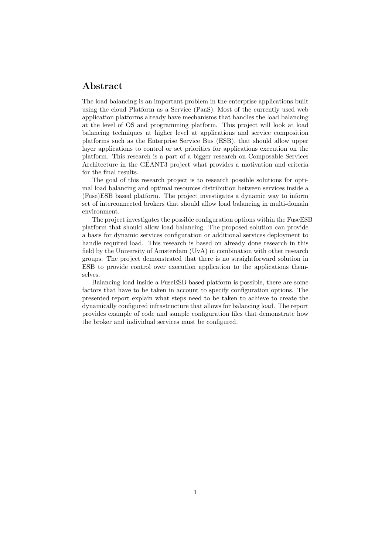## Abstract

The load balancing is an important problem in the enterprise applications built using the cloud Platform as a Service (PaaS). Most of the currently used web application platforms already have mechanisms that handles the load balancing at the level of OS and programming platform. This project will look at load balancing techniques at higher level at applications and service composition platforms such as the Enterprise Service Bus (ESB), that should allow upper layer applications to control or set priorities for applications execution on the platform. This research is a part of a bigger research on Composable Services Architecture in the GEANT3 project what provides a motivation and criteria ´ for the final results.

The goal of this research project is to research possible solutions for optimal load balancing and optimal resources distribution between services inside a (Fuse)ESB based platform. The project investigates a dynamic way to inform set of interconnected brokers that should allow load balancing in multi-domain environment.

The project investigates the possible configuration options within the FuseESB platform that should allow load balancing. The proposed solution can provide a basis for dynamic services configuration or additional services deployment to handle required load. This research is based on already done research in this field by the University of Amsterdam (UvA) in combination with other research groups. The project demonstrated that there is no straightforward solution in ESB to provide control over execution application to the applications themselves.

Balancing load inside a FuseESB based platform is possible, there are some factors that have to be taken in account to specify configuration options. The presented report explain what steps need to be taken to achieve to create the dynamically configured infrastructure that allows for balancing load. The report provides example of code and sample configuration files that demonstrate how the broker and individual services must be configured.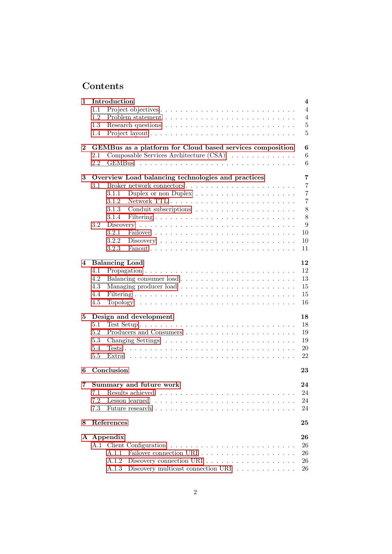## Contents

| 1        | Introduction                                                                               | $\overline{4}$ |
|----------|--------------------------------------------------------------------------------------------|----------------|
|          | 1.1                                                                                        | $\overline{4}$ |
|          | 1.2                                                                                        | $\overline{4}$ |
|          | 1.3                                                                                        | 5              |
|          | 1.4                                                                                        | 5              |
| $\bf{2}$ | GEMBus as a platform for Cloud based services composition                                  | 6              |
|          | Composable Services Architecture (CSA)<br>2.1                                              | 6              |
|          | $2.2\,$<br><b>GEMBus</b>                                                                   | 6              |
| 3        | Overview Load balancing technologies and practices                                         | 7              |
|          | 3.1                                                                                        | $\overline{7}$ |
|          | 3.1.1                                                                                      | $\overline{7}$ |
|          | 3.1.2                                                                                      | $\overline{7}$ |
|          |                                                                                            |                |
|          | 3.1.3                                                                                      | 8              |
|          | 3.1.4                                                                                      | 8              |
|          | 3.2<br>Discovery                                                                           | 9              |
|          | 3.2.1                                                                                      | 10             |
|          | 3.2.2<br>$Discovery \ldots \ldots \ldots \ldots \ldots \ldots \ldots \ldots \ldots \ldots$ | 10             |
|          | 3.2.3                                                                                      | 11             |
| 4        | <b>Balancing Load</b>                                                                      | 12             |
|          | 4.1                                                                                        | 12             |
|          | 4.2                                                                                        | 13             |
|          | 4.3                                                                                        | 15             |
|          | 4.4                                                                                        | 15             |
|          | 4.5                                                                                        | 16             |
| 5        | Design and development                                                                     | 18             |
|          | 5.1                                                                                        | 18             |
|          | 5.2                                                                                        | 19             |
|          | 5.3                                                                                        | 19             |
|          | 5.4                                                                                        | 20             |
|          | 5.5                                                                                        | 22             |
|          | Conclusion                                                                                 |                |
| 6        |                                                                                            | 23             |
| 7        | Summary and future work                                                                    | 24             |
|          | 7.1 Results achieved                                                                       | 24             |
|          | 7.2                                                                                        | 24             |
|          | 7.3                                                                                        | 24             |
| 8        | References                                                                                 | 25             |
|          | A Appendix                                                                                 | 26             |
|          |                                                                                            | 26             |
|          | A.1.1                                                                                      | 26             |
|          |                                                                                            |                |
|          | Discovery connection URI<br>A.1.2                                                          | 26             |
|          | Discovery multicast connection URI $\ldots \ldots \ldots \ldots$<br>A.1.3                  | 26             |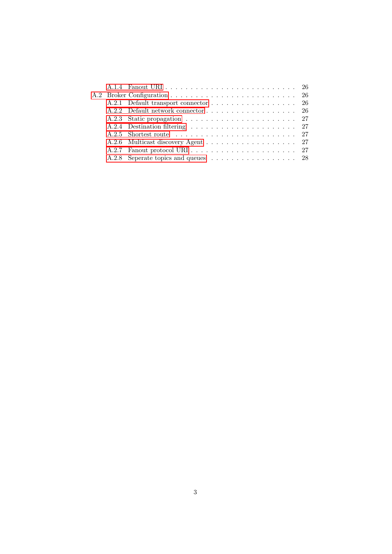|  | A.2.8 Seperate topics and queues 28 |
|--|-------------------------------------|
|  |                                     |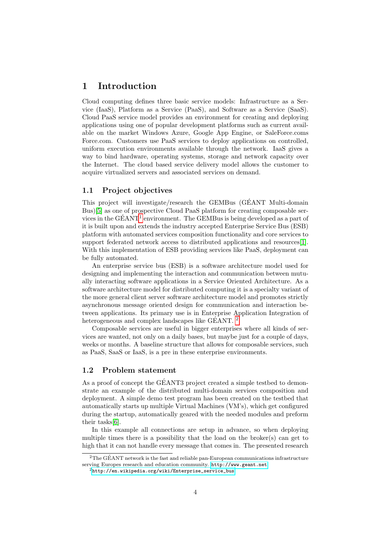## <span id="page-4-0"></span>1 Introduction

Cloud computing defines three basic service models: Infrastructure as a Service (IaaS), Platform as a Service (PaaS), and Software as a Service (SaaS). Cloud PaaS service model provides an environment for creating and deploying applications using one of popular development platforms such as current available on the market Windows Azure, Google App Engine, or SaleForce.coms Force.com. Customers use PaaS services to deploy applications on controlled, uniform execution environments available through the network. IaaS gives a way to bind hardware, operating systems, storage and network capacity over the Internet. The cloud based service delivery model allows the customer to acquire virtualized servers and associated services on demand.

#### <span id="page-4-1"></span>1.1 Project objectives

This project will investigate/research the GEMBus (GÉANT Multi-domain Bus)[\[5\]](#page-25-1) as one of prospective Cloud PaaS platform for creating composable services in the  $GÉANT<sup>1</sup>$  $GÉANT<sup>1</sup>$  $GÉANT<sup>1</sup>$  environment. The GEMBus is being developed as a part of it is built upon and extends the industry accepted Enterprise Service Bus (ESB) platform with automated services composition functionality and core services to support federated network access to distributed applications and resources[\[1\]](#page-25-2). With this implementation of ESB providing services like PaaS, deployment can be fully automated.

An enterprise service bus (ESB) is a software architecture model used for designing and implementing the interaction and communication between mutually interacting software applications in a Service Oriented Architecture. As a software architecture model for distributed computing it is a specialty variant of the more general client server software architecture model and promotes strictly asynchronous message oriented design for communication and interaction between applications. Its primary use is in Enterprise Application Integration of heterogeneous and complex landscapes like GÉANT.  $^2$  $^2$ 

Composable services are useful in bigger enterprises where all kinds of services are wanted, not only on a daily bases, but maybe just for a couple of days, weeks or months. A baseline structure that allows for composable services, such as PaaS, SaaS or IaaS, is a pre in these enterprise environments.

#### <span id="page-4-2"></span>1.2 Problem statement

As a proof of concept the GÉANT3 project created a simple testbed to demonstrate an example of the distributed multi-domain services composition and deployment. A simple demo test program has been created on the testbed that automatically starts up multiple Virtual Machines (VM's), which get configured during the startup, automatically geared with the needed modules and preform their tasks[\[6\]](#page-25-3).

In this example all connections are setup in advance, so when deploying multiple times there is a possibility that the load on the broker(s) can get to high that it can not handle every message that comes in. The presented research

<span id="page-4-3"></span><sup>&</sup>lt;sup>2</sup>The GÉANT network is the fast and reliable pan-European communications infrastructure serving Europes research and education community. <http://www.geant.net>

<sup>2</sup>[http://en.wikipedia.org/wiki/Enterprise\\_service\\_bus](http://en.wikipedia.org/wiki/Enterprise_service_bus)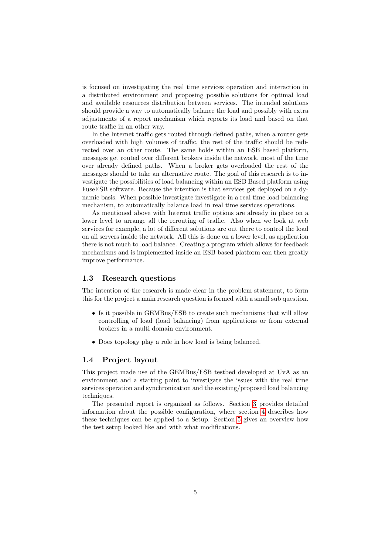is focused on investigating the real time services operation and interaction in a distributed environment and proposing possible solutions for optimal load and available resources distribution between services. The intended solutions should provide a way to automatically balance the load and possibly with extra adjustments of a report mechanism which reports its load and based on that route traffic in an other way.

In the Internet traffic gets routed through defined paths, when a router gets overloaded with high volumes of traffic, the rest of the traffic should be redirected over an other route. The same holds within an ESB based platform, messages get routed over different brokers inside the network, most of the time over already defined paths. When a broker gets overloaded the rest of the messages should to take an alternative route. The goal of this research is to investigate the possibilities of load balancing within an ESB Based platform using FuseESB software. Because the intention is that services get deployed on a dynamic basis. When possible investigate investigate in a real time load balancing mechanism, to automatically balance load in real time services operations.

As mentioned above with Internet traffic options are already in place on a lower level to arrange all the rerouting of traffic. Also when we look at web services for example, a lot of different solutions are out there to control the load on all servers inside the network. All this is done on a lower level, as application there is not much to load balance. Creating a program which allows for feedback mechanisms and is implemented inside an ESB based platform can then greatly improve performance.

#### <span id="page-5-0"></span>1.3 Research questions

The intention of the research is made clear in the problem statement, to form this for the project a main research question is formed with a small sub question.

- Is it possible in GEMBus/ESB to create such mechanisms that will allow controlling of load (load balancing) from applications or from external brokers in a multi domain environment.
- Does topology play a role in how load is being balanced.

#### <span id="page-5-1"></span>1.4 Project layout

This project made use of the GEMBus/ESB testbed developed at UvA as an environment and a starting point to investigate the issues with the real time services operation and synchronization and the existing/proposed load balancing techniques.

The presented report is organized as follows. Section [3](#page-7-0) provides detailed information about the possible configuration, where section [4](#page-12-0) describes how these techniques can be applied to a Setup. Section [5](#page-18-0) gives an overview how the test setup looked like and with what modifications.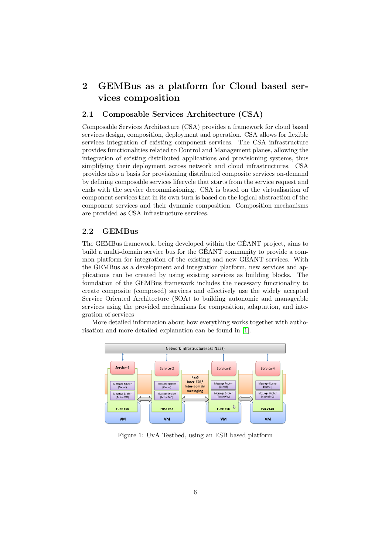## <span id="page-6-0"></span>2 GEMBus as a platform for Cloud based services composition

#### <span id="page-6-1"></span>2.1 Composable Services Architecture (CSA)

Composable Services Architecture (CSA) provides a framework for cloud based services design, composition, deployment and operation. CSA allows for flexible services integration of existing component services. The CSA infrastructure provides functionalities related to Control and Management planes, allowing the integration of existing distributed applications and provisioning systems, thus simplifying their deployment across network and cloud infrastructures. CSA provides also a basis for provisioning distributed composite services on-demand by defining composable services lifecycle that starts from the service request and ends with the service decommissioning. CSA is based on the virtualisation of component services that in its own turn is based on the logical abstraction of the component services and their dynamic composition. Composition mechanisms are provided as CSA infrastructure services.

#### <span id="page-6-2"></span>2.2 GEMBus

The GEMBus framework, being developed within the GEANT project, aims to ´ build a multi-domain service bus for the  $GÉANT$  community to provide a common platform for integration of the existing and new GÉANT services. With the GEMBus as a development and integration platform, new services and applications can be created by using existing services as building blocks. The foundation of the GEMBus framework includes the necessary functionality to create composite (composed) services and effectively use the widely accepted Service Oriented Architecture (SOA) to building autonomic and manageable services using the provided mechanisms for composition, adaptation, and integration of services

More detailed information about how everything works together with authorisation and more detailed explanation can be found in [\[1\]](#page-25-2).



Figure 1: UvA Testbed, using an ESB based platform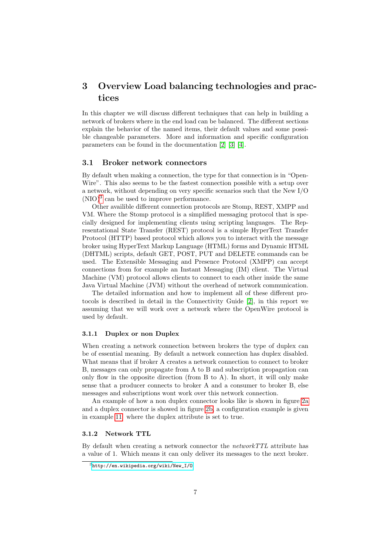## <span id="page-7-0"></span>3 Overview Load balancing technologies and practices

In this chapter we will discuss different techniques that can help in building a network of brokers where in the end load can be balanced. The different sections explain the behavior of the named items, their default values and some possible changeable parameters. More and information and specific configuration parameters can be found in the documentation [\[2\]](#page-25-4) [\[3\]](#page-25-5) [\[4\]](#page-25-6).

#### <span id="page-7-1"></span>3.1 Broker network connectors

By default when making a connection, the type for that connection is in "Open-Wire". This also seems to be the fastest connection possible with a setup over a network, without depending on very specific scenarios such that the New I/O  $(NIO)^3$  $(NIO)^3$  can be used to improve performance.

Other availible different connection protocols are Stomp, REST, XMPP and VM. Where the Stomp protocol is a simplified messaging protocol that is specially designed for implementing clients using scripting languages. The Representational State Transfer (REST) protocol is a simple HyperText Transfer Protocol (HTTP) based protocol which allows you to interact with the message broker using HyperText Markup Language (HTML) forms and Dynamic HTML (DHTML) scripts, default GET, POST, PUT and DELETE commands can be used. The Extensible Messaging and Presence Protocol (XMPP) can accept connections from for example an Instant Messaging (IM) client. The Virtual Machine (VM) protocol allows clients to connect to each other inside the same Java Virtual Machine (JVM) without the overhead of network communication.

The detailed information and how to implement all of these different protocols is described in detail in the Connectivity Guide [\[2\]](#page-25-4), in this report we assuming that we will work over a network where the OpenWire protocol is used by default.

#### <span id="page-7-2"></span>3.1.1 Duplex or non Duplex

When creating a network connection between brokers the type of duplex can be of essential meaning. By default a network connection has duplex disabled. What means that if broker A creates a network connection to connect to broker B, messages can only propagate from A to B and subscription propagation can only flow in the opposite direction (from B to A). In short, it will only make sense that a producer connects to broker A and a consumer to broker B, else messages and subscriptions wont work over this network connection.

An example of how a non duplex connector looks like is shown in figure [2a](#page-8-2) and a duplex connector is showed in figure [2b,](#page-8-2) a configuration example is given in example [11](#page-26-9) where the duplex attribute is set to true.

#### <span id="page-7-3"></span>3.1.2 Network TTL

By default when creating a network connector the networkTTL attribute has a value of 1. Which means it can only deliver its messages to the next broker.

<span id="page-7-4"></span><sup>3</sup>[http://en.wikipedia.org/wiki/New\\_I/O](http://en.wikipedia.org/wiki/New_I/O)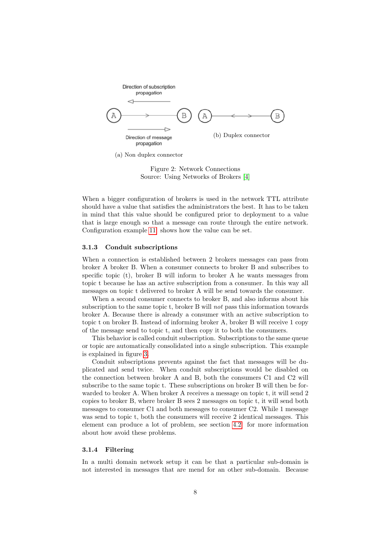<span id="page-8-2"></span>

(a) Non duplex connector

Figure 2: Network Connections Source: Using Networks of Brokers [\[4\]](#page-25-6)

When a bigger configuration of brokers is used in the network TTL attribute should have a value that satisfies the administrators the best. It has to be taken in mind that this value should be configured prior to deployment to a value that is large enough so that a message can route through the entire network. Configuration example [11](#page-26-9) shows how the value can be set.

#### <span id="page-8-0"></span>3.1.3 Conduit subscriptions

When a connection is established between 2 brokers messages can pass from broker A broker B. When a consumer connects to broker B and subscribes to specific topic (t), broker B will inform to broker A he wants messages from topic t because he has an active subscription from a consumer. In this way all messages on topic t delivered to broker A will be send towards the consumer.

When a second consumer connects to broker B, and also informs about his subscription to the same topic t, broker B will not pass this information towards broker A. Because there is already a consumer with an active subscription to topic t on broker B. Instead of informing broker A, broker B will receive 1 copy of the message send to topic t, and then copy it to both the consumers.

This behavior is called conduit subscription. Subscriptions to the same queue or topic are automatically consolidated into a single subscription. This example is explained in figure [3.](#page-9-1)

Conduit subscriptions prevents against the fact that messages will be duplicated and send twice. When conduit subscriptions would be disabled on the connection between broker A and B, both the consumers C1 and C2 will subscribe to the same topic t. These subscriptions on broker B will then be forwarded to broker A. When broker A receives a message on topic t, it will send 2 copies to broker B, where broker B sees 2 messages on topic t, it will send both messages to consumer C1 and both messages to consumer C2. While 1 message was send to topic t, both the consumers will receive 2 identical messages. This element can produce a lot of problem, see section [4.2](#page-13-0) for more information about how avoid these problems.

#### <span id="page-8-1"></span>3.1.4 Filtering

In a multi domain network setup it can be that a particular sub-domain is not interested in messages that are mend for an other sub-domain. Because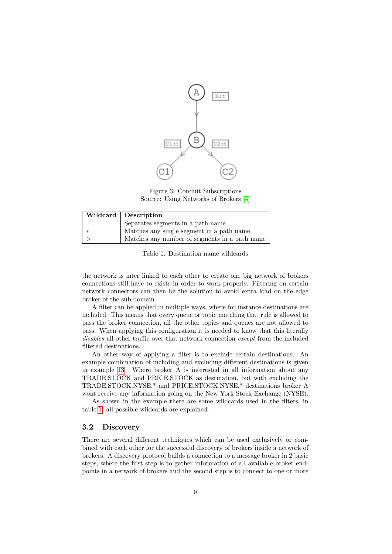<span id="page-9-1"></span>

Figure 3: Conduit Subscriptions Source: Using Networks of Brokers [\[4\]](#page-25-6)

<span id="page-9-2"></span>

| Wildcard   Description |                                               |  |  |
|------------------------|-----------------------------------------------|--|--|
|                        | Separates segments in a path name             |  |  |
| $\ast$                 | Matches any single segment in a path name     |  |  |
|                        | Matches any number of segments in a path name |  |  |

Table 1: Destination name wildcards

the network is inter linked to each other to create one big network of brokers connections still have to exists in order to work properly. Filtering on certain network connectors can then be the solution to avoid extra load on the edge broker of the sub-domain.

A filter can be applied in multiple ways, where for instance destinations are included. This means that every queue or topic matching that rule is allowed to pass the broker connection, all the other topics and queues are not allowed to pass. When applying this configuration it is needed to know that this literally disables all other traffic over that network connection except from the included filtered destinations.

An other way of applying a filter is to exclude certain destinations. An example combination of including and excluding different destinations is given in example [13.](#page-27-5) Where broker A is interested in all information about any TRADE.STOCK and PRICE.STOCK as destination, but with excluding the TRADE.STOCK.NYSE.\* and PRICE.STOCK.NYSE.\* destinations broker A wont receive any information going on the New York Stock Exchange (NYSE).

As shown in the example there are some wildcards used in the filters, in table [1](#page-9-2) all possible wildcards are explained.

#### <span id="page-9-0"></span>3.2 Discovery

There are several different techniques which can be used exclusively or combined with each other for the successful discovery of brokers inside a network of brokers. A discovery protocol builds a connection to a message broker in 2 basic steps, where the first step is to gather information of all available broker endpoints in a network of brokers and the second step is to connect to one or more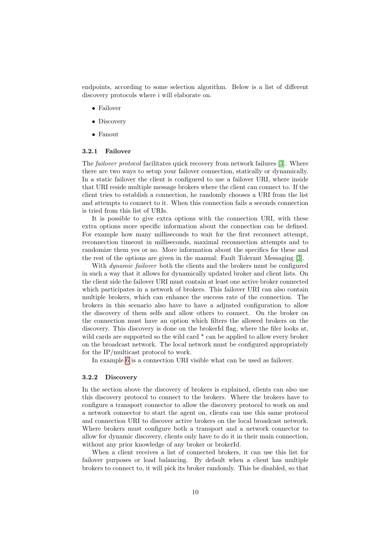endpoints, according to some selection algorithm. Below is a list of different discovery protocols where i will elaborate on.

- Failover
- Discovery
- Fanout

#### <span id="page-10-0"></span>3.2.1 Failover

The *failover protocol* facilitates quick recovery from network failures [\[3\]](#page-25-5). Where there are two ways to setup your failover connection, statically or dynamically. In a static failover the client is configured to use a failover URI, where inside that URI reside multiple message brokers where the client can connect to. If the client tries to establish a connection, he randomly chooses a URI from the list and attempts to connect to it. When this connection fails a seconds connection is tried from this list of URIs.

It is possible to give extra options with the connection URI, with these extra options more specific information about the connection can be defined. For example how many milliseconds to wait for the first reconnect attempt, reconnection timeout in milliseconds, maximal reconnection attempts and to randomize them yes or no. More information about the specifics for these and the rest of the options are given in the manual: Fault Tolerant Messaging [\[3\]](#page-25-5).

With *dynamic failover* both the clients and the brokers must be configured in such a way that it allows for dynamically updated broker and client lists. On the client side the failover URI must contain at least one active broker connected which participates in a network of brokers. This failover URI can also contain multiple brokers, which can enhance the success rate of the connection. The brokers in this scenario also have to have a adjusted configuration to allow the discovery of them selfs and allow others to connect. On the broker on the connection must have an option which filters the allowed brokers on the discovery. This discovery is done on the brokerId flag, where the filer looks at, wild cards are supported so the wild card  $*$  can be applied to allow every broker on the broadcast network. The local network must be configured appropriately for the IP/multicast protocol to work.

In example [6](#page-26-10) is a connection URI visible what can be used as failover.

#### <span id="page-10-1"></span>3.2.2 Discovery

In the section above the discovery of brokers is explained, clients can also use this discovery protocol to connect to the brokers. Where the brokers have to configure a transport connector to allow the discovery protocol to work on and a network connector to start the agent on, clients can use this same protocol and connection URI to discover active brokers on the local broadcast network. Where brokers must configure both a transport and a network connector to allow for dynamic discovery, clients only have to do it in their main connection, without any prior knowledge of any broker or brokerId.

When a client receives a list of connected brokers, it can use this list for failover purposes or load balancing. By default when a client has multiple brokers to connect to, it will pick its broker randomly. This be disabled, so that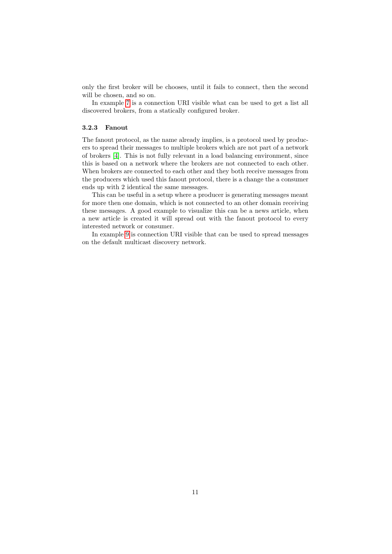only the first broker will be chooses, until it fails to connect, then the second will be chosen, and so on.

In example [7](#page-26-11) is a connection URI visible what can be used to get a list all discovered brokers, from a statically configured broker.

#### <span id="page-11-0"></span>3.2.3 Fanout

The fanout protocol, as the name already implies, is a protocol used by producers to spread their messages to multiple brokers which are not part of a network of brokers [\[4\]](#page-25-6). This is not fully relevant in a load balancing environment, since this is based on a network where the brokers are not connected to each other. When brokers are connected to each other and they both receive messages from the producers which used this fanout protocol, there is a change the a consumer ends up with 2 identical the same messages.

This can be useful in a setup where a producer is generating messages meant for more then one domain, which is not connected to an other domain receiving these messages. A good example to visualize this can be a news article, when a new article is created it will spread out with the fanout protocol to every interested network or consumer.

In example [9](#page-26-12) is connection URI visible that can be used to spread messages on the default multicast discovery network.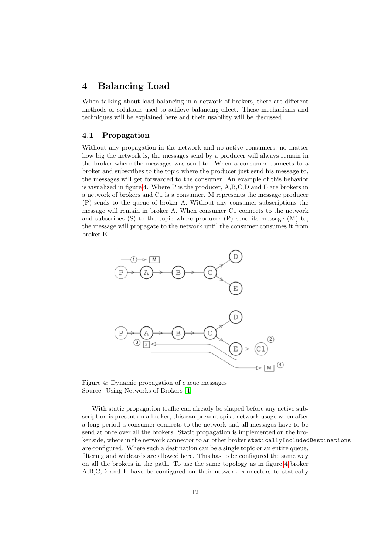### <span id="page-12-0"></span>4 Balancing Load

When talking about load balancing in a network of brokers, there are different methods or solutions used to achieve balancing effect. These mechanisms and techniques will be explained here and their usability will be discussed.

#### <span id="page-12-1"></span>4.1 Propagation

Without any propagation in the network and no active consumers, no matter how big the network is, the messages send by a producer will always remain in the broker where the messages was send to. When a consumer connects to a broker and subscribes to the topic where the producer just send his message to, the messages will get forwarded to the consumer. An example of this behavior is visualized in figure [4.](#page-12-2) Where P is the producer, A,B,C,D and E are brokers in a network of brokers and C1 is a consumer. M represents the message producer (P) sends to the queue of broker A. Without any consumer subscriptions the message will remain in broker A. When consumer C1 connects to the network and subscribes (S) to the topic where producer (P) send its message (M) to, the message will propagate to the network until the consumer consumes it from broker E.

<span id="page-12-2"></span>

Figure 4: Dynamic propagation of queue messages Source: Using Networks of Brokers [\[4\]](#page-25-6)

With static propagation traffic can already be shaped before any active subscription is present on a broker, this can prevent spike network usage when after a long period a consumer connects to the network and all messages have to be send at once over all the brokers. Static propagation is implemented on the broker side, where in the network connector to an other broker staticallyIncludedDestinations are configured. Where such a destination can be a single topic or an entire queue, filtering and wildcards are allowed here. This has to be configured the same way on all the brokers in the path. To use the same topology as in figure [4](#page-12-2) broker A,B,C,D and E have be configured on their network connectors to statically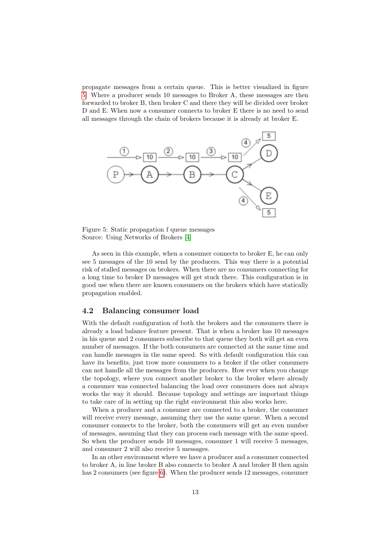propagate messages from a certain queue. This is better visualized in figure [5.](#page-13-1) Where a producer sends 10 messages to Broker A, these messages are then forwarded to broker B, then broker C and there they will be divided over broker D and E. When now a consumer connects to broker E there is no need to send all messages through the chain of brokers because it is already at broker E.

<span id="page-13-1"></span>

Figure 5: Static propagation f queue messages Source: Using Networks of Brokers [\[4\]](#page-25-6)

As seen in this example, when a consumer connects to broker E, he can only see 5 messages of the 10 send by the producers. This way there is a potential risk of stalled messages on brokers. When there are no consumers connecting for a long time to broker D messages will get stuck there. This configuration is in good use when there are known consumers on the brokers which have statically propagation enabled.

#### <span id="page-13-0"></span>4.2 Balancing consumer load

With the default configuration of both the brokers and the consumers there is already a load balance feature present. That is when a broker has 10 messages in his queue and 2 consumers subscribe to that queue they both will get an even number of messages. If the both consumers are connected at the same time and can handle messages in the same speed. So with default configuration this can have its benefits, just trow more consumers to a broker if the other consumers can not handle all the messages from the producers. How ever when you change the topology, where you connect another broker to the broker where already a consumer was connected balancing the load over consumers does not always works the way it should. Because topology and settings are important things to take care of in setting up the right environment this also works here.

When a producer and a consumer are connected to a broker, the consumer will receive every message, assuming they use the same queue. When a second consumer connects to the broker, both the consumers will get an even number of messages, assuming that they can process each message with the same speed. So when the producer sends 10 messages, consumer 1 will receive 5 messages, and consumer 2 will also receive 5 messages.

In an other environment where we have a producer and a consumer connected to broker A, in line broker B also connects to broker A and broker B then again has 2 consumers (see figure [6\)](#page-14-0). When the producer sends 12 messages, consumer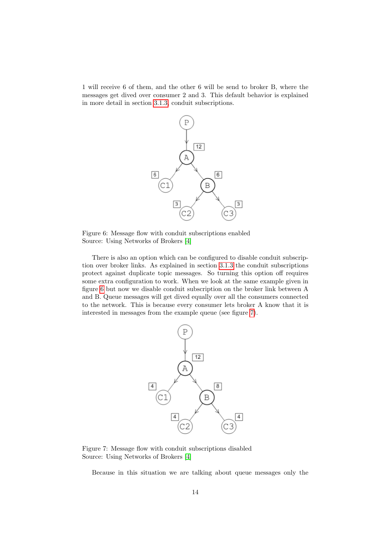<span id="page-14-0"></span>1 will receive 6 of them, and the other 6 will be send to broker B, where the messages get dived over consumer 2 and 3. This default behavior is explained in more detail in section [3.1.3,](#page-8-0) conduit subscriptions.



Figure 6: Message flow with conduit subscriptions enabled Source: Using Networks of Brokers [\[4\]](#page-25-6)

There is also an option which can be configured to disable conduit subscription over broker links. As explained in section [3.1.3](#page-8-0) the conduit subscriptions protect against duplicate topic messages. So turning this option off requires some extra configuration to work. When we look at the same example given in figure [6](#page-14-0) but now we disable conduit subscription on the broker link between A and B. Queue messages will get dived equally over all the consumers connected to the network. This is because every consumer lets broker A know that it is interested in messages from the example queue (see figure [7\)](#page-14-1).

<span id="page-14-1"></span>

Figure 7: Message flow with conduit subscriptions disabled Source: Using Networks of Brokers [\[4\]](#page-25-6)

Because in this situation we are talking about queue messages only the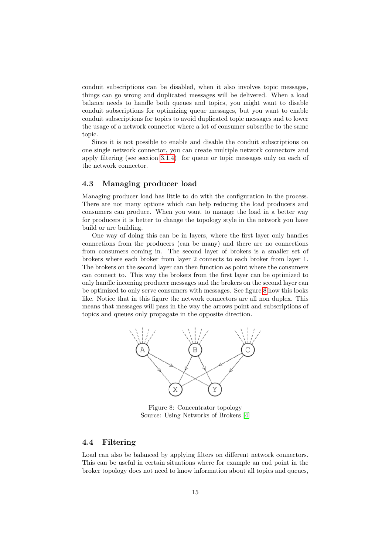conduit subscriptions can be disabled, when it also involves topic messages, things can go wrong and duplicated messages will be delivered. When a load balance needs to handle both queues and topics, you might want to disable conduit subscriptions for optimizing queue messages, but you want to enable conduit subscriptions for topics to avoid duplicated topic messages and to lower the usage of a network connector where a lot of consumer subscribe to the same topic.

Since it is not possible to enable and disable the conduit subscriptions on one single network connector, you can create multiple network connectors and apply filtering (see section [3.1.4\)](#page-8-1) for queue or topic messages only on each of the network connector.

#### <span id="page-15-0"></span>4.3 Managing producer load

Managing producer load has little to do with the configuration in the process. There are not many options which can help reducing the load producers and consumers can produce. When you want to manage the load in a better way for producers it is better to change the topology style in the network you have build or are building.

One way of doing this can be in layers, where the first layer only handles connections from the producers (can be many) and there are no connections from consumers coming in. The second layer of brokers is a smaller set of brokers where each broker from layer 2 connects to each broker from layer 1. The brokers on the second layer can then function as point where the consumers can connect to. This way the brokers from the first layer can be optimized to only handle incoming producer messages and the brokers on the second layer can be optimized to only serve consumers with messages. See figure [8](#page-15-2) how this looks like. Notice that in this figure the network connectors are all non duplex. This means that messages will pass in the way the arrows point and subscriptions of topics and queues only propagate in the opposite direction.

<span id="page-15-2"></span>

Figure 8: Concentrator topology Source: Using Networks of Brokers [\[4\]](#page-25-6)

#### <span id="page-15-1"></span>4.4 Filtering

Load can also be balanced by applying filters on different network connectors. This can be useful in certain situations where for example an end point in the broker topology does not need to know information about all topics and queues,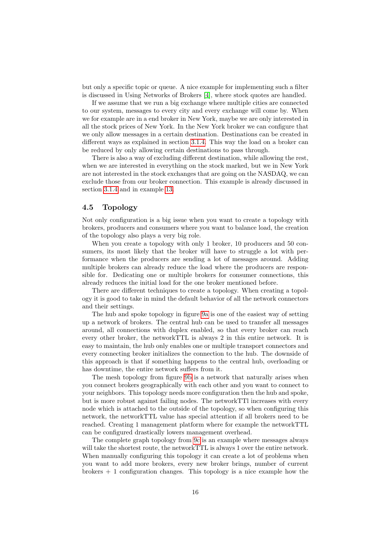but only a specific topic or queue. A nice example for implementing such a filter is discussed in Using Networks of Brokers [\[4\]](#page-25-6), where stock quotes are handled.

If we assume that we run a big exchange where multiple cities are connected to our system, messages to every city and every exchange will come by. When we for example are in a end broker in New York, maybe we are only interested in all the stock prices of New York. In the New York broker we can configure that we only allow messages in a certain destination. Destinations can be created in different ways as explained in section [3.1.4.](#page-8-1) This way the load on a broker can be reduced by only allowing certain destinations to pass through.

There is also a way of excluding different destination, while allowing the rest, when we are interested in everything on the stock marked, but we in New York are not interested in the stock exchanges that are going on the NASDAQ, we can exclude those from our broker connection. This example is already discussed in section [3.1.4](#page-8-1) and in example [13.](#page-27-5)

#### <span id="page-16-0"></span>4.5 Topology

Not only configuration is a big issue when you want to create a topology with brokers, producers and consumers where you want to balance load, the creation of the topology also plays a very big role.

When you create a topology with only 1 broker, 10 producers and 50 consumers, its most likely that the broker will have to struggle a lot with performance when the producers are sending a lot of messages around. Adding multiple brokers can already reduce the load where the producers are responsible for. Dedicating one or multiple brokers for consumer connections, this already reduces the initial load for the one broker mentioned before.

There are different techniques to create a topology. When creating a topology it is good to take in mind the default behavior of all the network connectors and their settings.

The hub and spoke topology in figure [9a](#page-17-0) is one of the easiest way of setting up a network of brokers. The central hub can be used to transfer all messages around, all connections with duplex enabled, so that every broker can reach every other broker, the networkTTL is always 2 in this entire network. It is easy to maintain, the hub only enables one or multiple transport connectors and every connecting broker initializes the connection to the hub. The downside of this approach is that if something happens to the central hub, overloading or has downtime, the entire network suffers from it.

The mesh topology from figure [9b](#page-17-0) is a network that naturally arises when you connect brokers geographically with each other and you want to connect to your neighbors. This topology needs more configuration then the hub and spoke, but is more robust against failing nodes. The networkTTl increases with every node which is attached to the outside of the topology, so when configuring this network, the networkTTL value has special attention if all brokers need to be reached. Creating 1 management platform where for example the networkTTL can be configured drastically lowers management overhead.

The complete graph topology from [9c](#page-17-0) is an example where messages always will take the shortest route, the networkTTL is always 1 over the entire network. When manually configuring this topology it can create a lot of problems when you want to add more brokers, every new broker brings, number of current brokers  $+1$  configuration changes. This topology is a nice example how the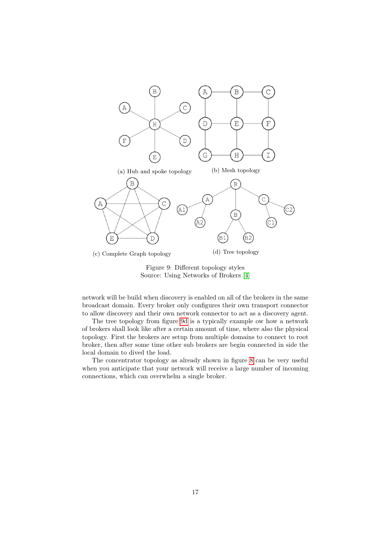<span id="page-17-0"></span>

Figure 9: Different topology styles Source: Using Networks of Brokers [\[4\]](#page-25-6)

network will be build when discovery is enabled on all of the brokers in the same broadcast domain. Every broker only configures their own transport connector to allow discovery and their own network connector to act as a discovery agent.

The tree topology from figure [9d](#page-17-0) is a typically example ow how a network of brokers shall look like after a certain amount of time, where also the physical topology. First the brokers are setup from multiple domains to connect to root broker, then after some time other sub brokers are begin connected in side the local domain to dived the load.

The concentrator topology as already shown in figure [8](#page-15-2) can be very useful when you anticipate that your network will receive a large number of incoming connections, which can overwhelm a single broker.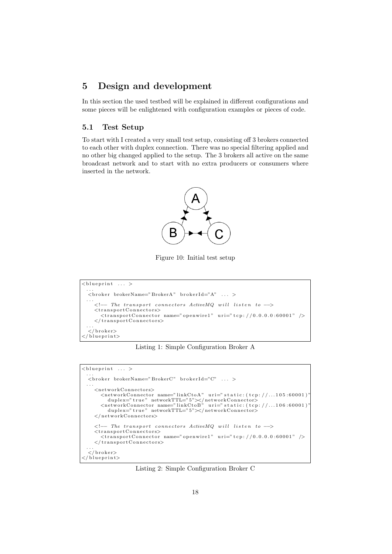## <span id="page-18-0"></span>5 Design and development

In this section the used testbed will be explained in different configurations and some pieces will be enlightened with configuration examples or pieces of code.

#### <span id="page-18-1"></span>5.1 Test Setup

<span id="page-18-2"></span>To start with I created a very small test setup, consisting off 3 brokers connected to each other with duplex connection. There was no special filtering applied and no other big changed applied to the setup. The 3 brokers all active on the same broadcast network and to start with no extra producers or consumers where inserted in the network.



Figure 10: Initial test setup

```
\langleblueprint ... >
  ...<br><broker brokerName="BrokerA" brokerId="A" ... >
  . . .
     \lt! !-- The transport connectors ActiveMQ will listen to \rightarrow\langletransportConnectors>\epsilon //ansportConnectors/<br>
\epsilon /ransportConnector name="openwire1" uri="tcp://0.0.0.0.60001" />
     \langle transport Connectors>
  . . .<br></ broker>
\langle/blueprint>
```
Listing 1: Simple Configuration Broker A

<span id="page-18-4"></span>

Listing 2: Simple Configuration Broker C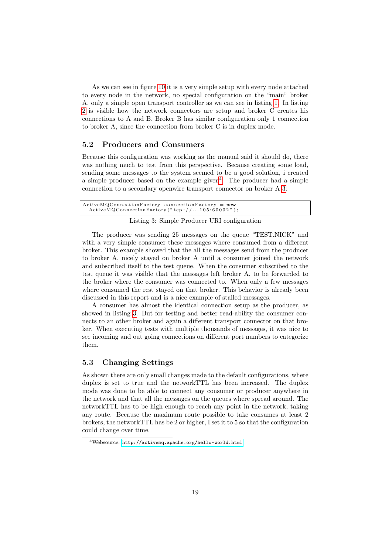As we can see in figure [10](#page-18-2) it is a very simple setup with every node attached to every node in the network, no special configuration on the "main" broker A, only a simple open transport controller as we can see in listing [1.](#page-18-3) In listing [2](#page-18-4) is visible how the network connectors are setup and broker C creates his connections to A and B. Broker B has similar configuration only 1 connection to broker A, since the connection from broker C is in duplex mode.

#### <span id="page-19-0"></span>5.2 Producers and Consumers

Because this configuration was working as the manual said it should do, there was nothing much to test from this perspective. Because creating some load, sending some messages to the system seemed to be a good solution, i created a simple producer based on the example given<sup>[4](#page-19-2)</sup>. The producer had a simple connection to a secondary openwire transport connector on broker A [3.](#page-19-3)

<span id="page-19-3"></span>

| $\text{ActiveMQConnectionFactory}$ connection $\text{Factory} = \text{new}$ |                                   |  |
|-----------------------------------------------------------------------------|-----------------------------------|--|
|                                                                             | ActionFactory("top://105:60002"); |  |

#### Listing 3: Simple Producer URI configuration

The producer was sending 25 messages on the queue "TEST.NICK" and with a very simple consumer these messages where consumed from a different broker. This example showed that the all the messages send from the producer to broker A, nicely stayed on broker A until a consumer joined the network and subscribed itself to the test queue. When the consumer subscribed to the test queue it was visible that the messages left broker A, to be forwarded to the broker where the consumer was connected to. When only a few messages where consumed the rest stayed on that broker. This behavior is already been discussed in this report and is a nice example of stalled messages.

A consumer has almost the identical connection setup as the producer, as showed in listing [3.](#page-19-3) But for testing and better read-ability the consumer connects to an other broker and again a different transport connector on that broker. When executing tests with multiple thousands of messages, it was nice to see incoming and out going connections on different port numbers to categorize them.

#### <span id="page-19-1"></span>5.3 Changing Settings

As shown there are only small changes made to the default configurations, where duplex is set to true and the networkTTL has been increased. The duplex mode was done to be able to connect any consumer or producer anywhere in the network and that all the messages on the queues where spread around. The networkTTL has to be high enough to reach any point in the network, taking any route. Because the maximum route possible to take consumes at least 2 brokers, the networkTTL has be 2 or higher, I set it to 5 so that the configuration could change over time.

<span id="page-19-2"></span><sup>4</sup>Websource: <http://activemq.apache.org/hello-world.html>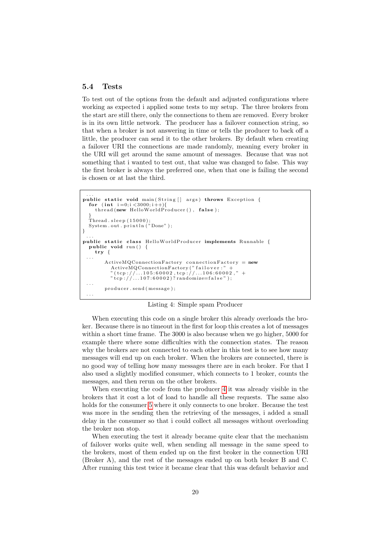#### <span id="page-20-0"></span>5.4 Tests

To test out of the options from the default and adjusted configurations where working as expected i applied some tests to my setup. The three brokers from the start are still there, only the connections to them are removed. Every broker is in its own little network. The producer has a failover connection string, so that when a broker is not answering in time or tells the producer to back off a little, the producer can send it to the other brokers. By default when creating a failover URI the connections are made randomly, meaning every broker in the URI will get around the same amount of messages. Because that was not something that i wanted to test out, that value was changed to false. This way the first broker is always the preferred one, when that one is failing the second is chosen or at last the third.

```
...<br>
public static void main(String[] args) throws Exception {
  for (int i=0; i < 3000; i++){
     thread (new HelloWorldProducer (), false);
   }
   Thread . sleep (15000);
  System . out . println (\n\overset{\circ}{\cdot}\text{Done''});
}
...<br>
public static class HelloWorldProducer implements Runnable {
  public void run () {
     try {
  . . .
         ActiveMQConnectionFactory connection Factory = new
            ActiveMQConnectionFactory ("failover :" +<br>"(tcp ://...105:60002,tcp ://...106:60002," +
            "\dot{t}cp://...107:60002)?randomize=false");
  . . .
         producer.send (message);
  . . .
```
Listing 4: Simple spam Producer

When executing this code on a single broker this already overloads the broker. Because there is no timeout in the first for loop this creates a lot of messages within a short time frame. The 3000 is also because when we go higher, 5000 for example there where some difficulties with the connection states. The reason why the brokers are not connected to each other in this test is to see how many messages will end up on each broker. When the brokers are connected, there is no good way of telling how many messages there are in each broker. For that I also used a slightly modified consumer, which connects to 1 broker, counts the messages, and then rerun on the other brokers.

When executing the code from the producer [4](#page-20-1) it was already visible in the brokers that it cost a lot of load to handle all these requests. The same also holds for the consumer [5](#page-21-0) where it only connects to one broker. Because the test was more in the sending then the retrieving of the messages, i added a small delay in the consumer so that i could collect all messages without overloading the broker non stop.

When executing the test it already became quite clear that the mechanism of failover works quite well, when sending all message in the same speed to the brokers, most of them ended up on the first broker in the connection URI (Broker A), and the rest of the messages ended up on both broker B and C. After running this test twice it became clear that this was default behavior and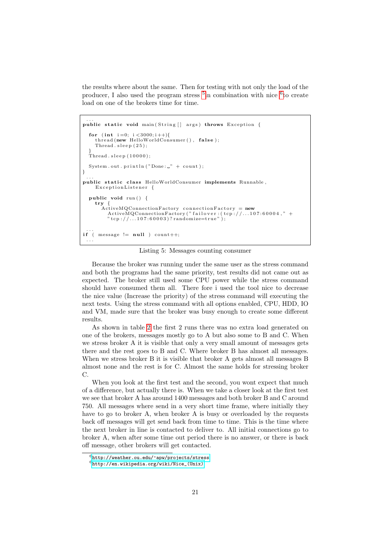the results where about the same. Then for testing with not only the load of the producer, I also used the program stress <sup>[5](#page-0-0)</sup> in combination with nice <sup>[6](#page-21-1)</sup> to create load on one of the brokers time for time.

```
...<br>
public static void main(String[] args) throws Exception {
  for (int i = 0; i < 3000; i++)thread (new HelloWorldConsumer (), false);
     Thread . s leep (25);
  }
  Thread . sleep (10000);
  System.out.println ("Done:\Box" + count);
}
...<br>public static class HelloWorldConsumer implements Runnable,
     ExceptionListener {
  public void run() {
    try {
       \rm{ActiveMQConnectionFactory} connection \rm{Factor}ActiveMQConnectionFactory("failover :(tcp ://...107:60004 ," +<br>"tcp ://...107:60003)?randomize=true");
...<br>if ( message != null ) count++;
 . . .
```
Listing 5: Messages counting consumer

Because the broker was running under the same user as the stress command and both the programs had the same priority, test results did not came out as expected. The broker still used some CPU power while the stress command should have consumed them all. There fore i used the tool nice to decrease the nice value (Increase the priority) of the stress command will executing the next tests. Using the stress command with all options enabled, CPU, HDD, IO and VM, made sure that the broker was busy enough to create some different results.

As shown in table [2](#page-22-1) the first 2 runs there was no extra load generated on one of the brokers, messages mostly go to A but also some to B and C. When we stress broker A it is visible that only a very small amount of messages gets there and the rest goes to B and C. Where broker B has almost all messages. When we stress broker B it is visible that broker A gets almost all messages B almost none and the rest is for C. Almost the same holds for stressing broker C.

When you look at the first test and the second, you wont expect that much of a difference, but actually there is. When we take a closer look at the first test we see that broker A has around 1400 messages and both broker B and C around 750. All messages where send in a very short time frame, where initially they have to go to broker A, when broker A is busy or overloaded by the requests back off messages will get send back from time to time. This is the time where the next broker in line is contacted to deliver to. All initial connections go to broker A, when after some time out period there is no answer, or there is back off message, other brokers will get contacted.

<span id="page-21-1"></span><sup>6</sup><http://weather.ou.edu/~apw/projects/stress>

 $6$ [http://en.wikipedia.org/wiki/Nice\\_\(Unix\)](http://en.wikipedia.org/wiki/Nice_(Unix))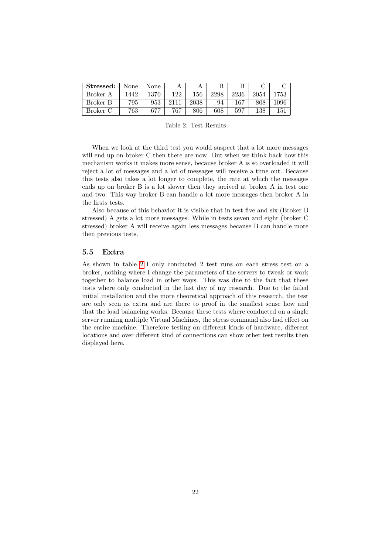<span id="page-22-1"></span>

| Stressed: | None | None |     | A    |      |      |      |      |
|-----------|------|------|-----|------|------|------|------|------|
| Broker A  | 1442 | 1370 | 122 | 156  | 2298 | 2236 | 2054 | 753  |
| Broker B  | 795  | 953  |     | 2038 | 94   | 167  | 808  | .096 |
| Broker C  | 763  | 677  | 767 | 806  | 608  | 597  | 138  | 151  |

Table 2: Test Results

When we look at the third test you would suspect that a lot more messages will end up on broker C then there are now. But when we think back how this mechanism works it makes more sense, because broker A is so overloaded it will reject a lot of messages and a lot of messages will receive a time out. Because this tests also takes a lot longer to complete, the rate at which the messages ends up on broker B is a lot slower then they arrived at broker A in test one and two. This way broker B can handle a lot more messages then broker A in the firsts tests.

Also because of this behavior it is visible that in test five and six (Broker B stressed) A gets a lot more messages. While in tests seven and eight (broker C stressed) broker A will receive again less messages because B can handle more then previous tests.

#### <span id="page-22-0"></span>5.5 Extra

As shown in table [2](#page-22-1) I only conducted 2 test runs on each stress test on a broker, nothing where I change the parameters of the servers to tweak or work together to balance load in other ways. This was due to the fact that these tests where only conducted in the last day of my research. Due to the failed initial installation and the more theoretical approach of this research, the test are only seen as extra and are there to proof in the smallest sense how and that the load balancing works. Because these tests where conducted on a single server running multiple Virtual Machines, the stress command also had effect on the entire machine. Therefore testing on different kinds of hardware, different locations and over different kind of connections can show other test results then displayed here.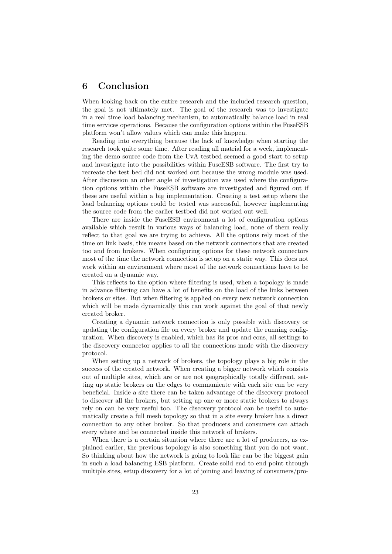## <span id="page-23-0"></span>6 Conclusion

When looking back on the entire research and the included research question, the goal is not ultimately met. The goal of the research was to investigate in a real time load balancing mechanism, to automatically balance load in real time services operations. Because the configuration options within the FuseESB platform won't allow values which can make this happen.

Reading into everything because the lack of knowledge when starting the research took quite some time. After reading all matrial for a week, implementing the demo source code from the UvA testbed seemed a good start to setup and investigate into the possibilities within FuseESB software. The first try to recreate the test bed did not worked out because the wrong module was used. After discussion an other angle of investigation was used where the configuration options within the FuseESB software are investigated and figured out if these are useful within a big implementation. Creating a test setup where the load balancing options could be tested was successful, however implementing the source code from the earlier testbed did not worked out well.

There are inside the FuseESB environment a lot of configuration options available which result in various ways of balancing load, none of them really reflect to that goal we are trying to achieve. All the options rely most of the time on link basis, this means based on the network connectors that are created too and from brokers. When configuring options for these network connectors most of the time the network connection is setup on a static way. This does not work within an environment where most of the network connections have to be created on a dynamic way.

This reflects to the option where filtering is used, when a topology is made in advance filtering can have a lot of benefits on the load of the links between brokers or sites. But when filtering is applied on every new network connection which will be made dynamically this can work against the goal of that newly created broker.

Creating a dynamic network connection is only possible with discovery or updating the configuration file on every broker and update the running configuration. When discovery is enabled, which has its pros and cons, all settings to the discovery connector applies to all the connections made with the discovery protocol.

When setting up a network of brokers, the topology plays a big role in the success of the created network. When creating a bigger network which consists out of multiple sites, which are or are not geographically totally different, setting up static brokers on the edges to communicate with each site can be very beneficial. Inside a site there can be taken advantage of the discovery protocol to discover all the brokers, but setting up one or more static brokers to always rely on can be very useful too. The discovery protocol can be useful to automatically create a full mesh topology so that in a site every broker has a direct connection to any other broker. So that producers and consumers can attach every where and be connected inside this network of brokers.

When there is a certain situation where there are a lot of producers, as explained earlier, the previous topology is also something that you do not want. So thinking about how the network is going to look like can be the biggest gain in such a load balancing ESB platform. Create solid end to end point through multiple sites, setup discovery for a lot of joining and leaving of consumers/pro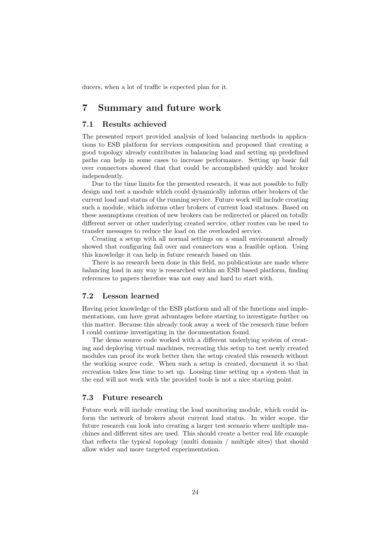ducers, when a lot of traffic is expected plan for it.

## <span id="page-24-0"></span>7 Summary and future work

#### <span id="page-24-1"></span>7.1 Results achieved

The presented report provided analysis of load balancing methods in applications to ESB platform for services composition and proposed that creating a good topology already contributes in balancing load and setting up predefined paths can help in some cases to increase performance. Setting up basic fail over connectors showed that that could be accomplished quickly and broker independently.

Due to the time limits for the presented research, it was not possible to fully design and test a module which could dynamically informs other brokers of the current load and status of the running service. Future work will include creating such a module, which informs other brokers of current load statuses. Based on these assumptions creation of new brokers can be redirected or placed on totally different server or other underlying created service, other routes can be used to transfer messages to reduce the load on the overloaded service.

Creating a setup with all normal settings on a small environment already showed that configuring fail over and connectors was a feasible option. Using this knowledge it can help in future research based on this.

There is no research been done in this field, no publications are made where balancing load in any way is researched within an ESB based platform, finding references to papers therefore was not easy and hard to start with.

#### <span id="page-24-2"></span>7.2 Lesson learned

Having prior knowledge of the ESB platform and all of the functions and implementations, can have great advantages before starting to investigate further on this matter. Because this already took away a week of the research time before I could continue investigating in the documentation found.

The demo source code worked with a different underlying system of creating and deploying virtual machines, recreating this setup to test newly created modules can proof its work better then the setup created this research without the working source code. When such a setup is created, document it so that recreation takes less time to set up. Loosing time setting up a system that in the end will not work with the provided tools is not a nice starting point.

#### <span id="page-24-3"></span>7.3 Future research

Future work will include creating the load monitoring module, which could inform the network of brokers about current load status. In wider scope, the future research can look into creating a larger test scenario where multiple machines and different sites are used. This should create a better real life example that reflects the typical topology (multi domain / multiple sites) that should allow wider and more targeted experimentation.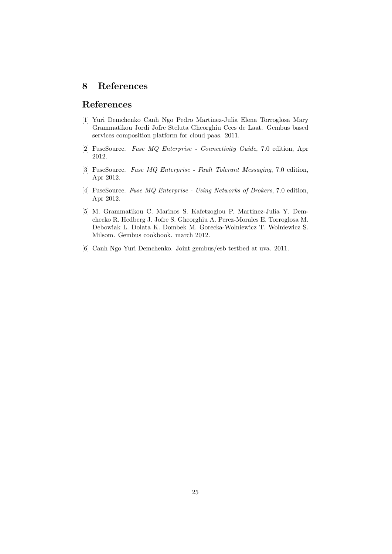## <span id="page-25-0"></span>8 References

## References

- <span id="page-25-2"></span>[1] Yuri Demchenko Canh Ngo Pedro Martinez-Julia Elena Torroglosa Mary Grammatikou Jordi Jofre Steluta Gheorghiu Cees de Laat. Gembus based services composition platform for cloud paas. 2011.
- <span id="page-25-4"></span>[2] FuseSource. Fuse MQ Enterprise - Connectivity Guide, 7.0 edition, Apr 2012.
- <span id="page-25-5"></span>[3] FuseSource. Fuse MQ Enterprise - Fault Tolerant Messaging, 7.0 edition, Apr 2012.
- <span id="page-25-6"></span>[4] FuseSource. Fuse MQ Enterprise - Using Networks of Brokers, 7.0 edition, Apr 2012.
- <span id="page-25-1"></span>[5] M. Grammatikou C. Marinos S. Kafetzoglou P. Martinez-Julia Y. Demchecko R. Hedberg J. Jofre S. Gheorghiu A. Perez-Morales E. Torroglosa M. Debowiak L. Dolata K. Dombek M. Gorecka-Wolniewicz T. Wolniewicz S. Milsom. Gembus cookbook. march 2012.
- <span id="page-25-3"></span>[6] Canh Ngo Yuri Demchenko. Joint gembus/esb testbed at uva. 2011.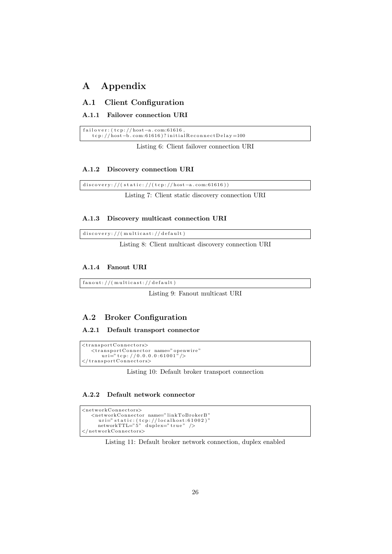## <span id="page-26-0"></span>A Appendix

#### <span id="page-26-1"></span>A.1 Client Configuration

#### <span id="page-26-2"></span>A.1.1 Failover connection URI

<span id="page-26-10"></span>f a i l o v e r : ( t c p : // host−a . com :61616 , t c p : // host−b . com :61616 ) ? i n i t i a l R e c o n n e c t D e l a y =100

Listing 6: Client failover connection URI

#### <span id="page-26-3"></span>A.1.2 Discovery connection URI

<span id="page-26-11"></span> $discovery://(static://(top://host-a.com:61616))$ 

Listing 7: Client static discovery connection URI

#### <span id="page-26-4"></span>A.1.3 Discovery multicast connection URI

 $discovery://(multicast://default)$ 

Listing 8: Client multicast discovery connection URI

#### <span id="page-26-5"></span>A.1.4 Fanout URI

<span id="page-26-12"></span> $fanout: // (multicast: // default)$ 

Listing 9: Fanout multicast URI

#### <span id="page-26-6"></span>A.2 Broker Configuration

#### <span id="page-26-7"></span>A.2.1 Default transport connector

```
\langletransportConnectors>\langletransportConnector name="openwire"<br>uri="tcp://0.0.0.0:61001"/>
\langle / transport Connectors>
```
Listing 10: Default broker transport connection

#### <span id="page-26-8"></span>A.2.2 Default network connector

```
<networkConnectors>\leqnetworkConnector name="linkToBrokerB"
       uri=" static: (tcp://localhost:61002)"<br>networkTTL="5" duplex="true" />
\langle/networkConnectors\rangle
```
#### Listing 11: Default broker network connection, duplex enabled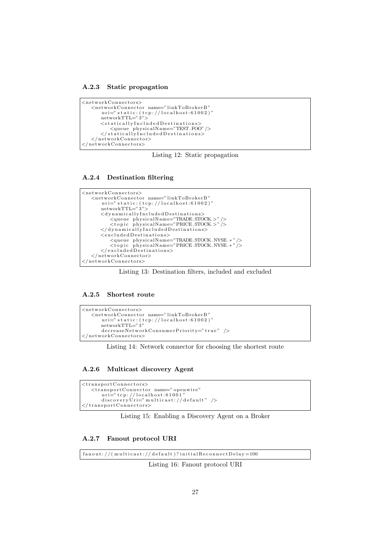<span id="page-27-0"></span>A.2.3 Static propagation

```
<networkConnectors><n etworkConn e ctor name=" l inkToBrok erB "
        uri="="right" = "static: (tcp://localhost:61002)"networkTTL="3">
        <statically Included Destinations>
        <queue phys ica lName="TEST .FOO" />
</ s t a t i c a l l y I n c l u d e d D e s t i n a t i o n s>
   \langle/networkConnector>
\langle/networkConnectors>
```
Listing 12: Static propagation

#### <span id="page-27-1"></span>A.2.4 Destination filtering

<span id="page-27-5"></span>

Listing 13: Destination filters, included and excluded

#### <span id="page-27-2"></span>A.2.5 Shortest route

```
<networkConnectors><n etworkConn e ctor name=" l inkToBrok erB "
       uri=" static: (tcp://localhost:61002)"<br>networkTTL="3"
       decreaseNetworkCosusumerPriority="true" />
\langle/networkConnectors>
```
Listing 14: Network connector for choosing the shortest route

#### <span id="page-27-3"></span>A.2.6 Multicast discovery Agent

```
\langletransportConnectors\rangle\langletransportConnector name=" openwire"
         uri="tcp://localhost:61001"<br>discoveryUri="multicast://default" />
\langle/transportConnectors>
```
Listing 15: Enabling a Discovery Agent on a Broker

#### <span id="page-27-4"></span>A.2.7 Fanout protocol URI

 $fan out: // (multicast: // default)? initial ReconnectDelay = 100$ 

Listing 16: Fanout protocol URI